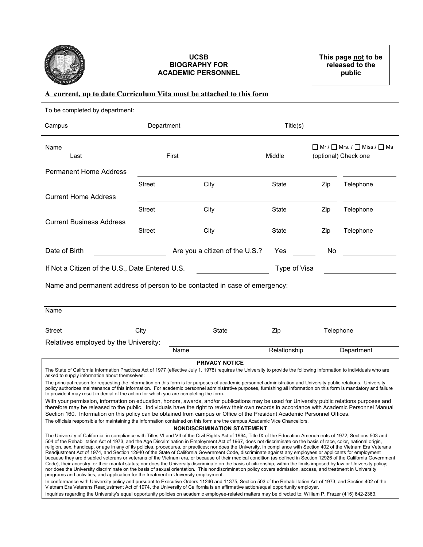

#### **UCSB BIOGRAPHY FOR ACADEMIC PERSONNEL**

### **A current, up to date Curriculum Vita must be attached to this form**

| To be completed by department:                                                                                                                                                                                                                                                                                                                                                                                                                                                                                                                                                                                                                                                                                                                                                                                                                                                                                                                                                                                                                                                                                                                                                                                                                                                       |               |                                    |                                                                                     |     |            |  |
|--------------------------------------------------------------------------------------------------------------------------------------------------------------------------------------------------------------------------------------------------------------------------------------------------------------------------------------------------------------------------------------------------------------------------------------------------------------------------------------------------------------------------------------------------------------------------------------------------------------------------------------------------------------------------------------------------------------------------------------------------------------------------------------------------------------------------------------------------------------------------------------------------------------------------------------------------------------------------------------------------------------------------------------------------------------------------------------------------------------------------------------------------------------------------------------------------------------------------------------------------------------------------------------|---------------|------------------------------------|-------------------------------------------------------------------------------------|-----|------------|--|
| Campus                                                                                                                                                                                                                                                                                                                                                                                                                                                                                                                                                                                                                                                                                                                                                                                                                                                                                                                                                                                                                                                                                                                                                                                                                                                                               | Department    |                                    | Title(s)                                                                            |     |            |  |
| Name<br>Last                                                                                                                                                                                                                                                                                                                                                                                                                                                                                                                                                                                                                                                                                                                                                                                                                                                                                                                                                                                                                                                                                                                                                                                                                                                                         | First         |                                    | $\Box$ Mr./ $\Box$ Mrs. / $\Box$ Miss./ $\Box$ Ms<br>Middle<br>(optional) Check one |     |            |  |
|                                                                                                                                                                                                                                                                                                                                                                                                                                                                                                                                                                                                                                                                                                                                                                                                                                                                                                                                                                                                                                                                                                                                                                                                                                                                                      |               |                                    |                                                                                     |     |            |  |
| <b>Permanent Home Address</b>                                                                                                                                                                                                                                                                                                                                                                                                                                                                                                                                                                                                                                                                                                                                                                                                                                                                                                                                                                                                                                                                                                                                                                                                                                                        |               |                                    |                                                                                     |     |            |  |
|                                                                                                                                                                                                                                                                                                                                                                                                                                                                                                                                                                                                                                                                                                                                                                                                                                                                                                                                                                                                                                                                                                                                                                                                                                                                                      | Street        | City                               | State                                                                               | Zip | Telephone  |  |
| <b>Current Home Address</b>                                                                                                                                                                                                                                                                                                                                                                                                                                                                                                                                                                                                                                                                                                                                                                                                                                                                                                                                                                                                                                                                                                                                                                                                                                                          |               |                                    |                                                                                     |     |            |  |
|                                                                                                                                                                                                                                                                                                                                                                                                                                                                                                                                                                                                                                                                                                                                                                                                                                                                                                                                                                                                                                                                                                                                                                                                                                                                                      | <b>Street</b> | City                               | State                                                                               | Zip | Telephone  |  |
| <b>Current Business Address</b>                                                                                                                                                                                                                                                                                                                                                                                                                                                                                                                                                                                                                                                                                                                                                                                                                                                                                                                                                                                                                                                                                                                                                                                                                                                      |               |                                    |                                                                                     |     |            |  |
|                                                                                                                                                                                                                                                                                                                                                                                                                                                                                                                                                                                                                                                                                                                                                                                                                                                                                                                                                                                                                                                                                                                                                                                                                                                                                      | <b>Street</b> | City                               | State                                                                               | Zip | Telephone  |  |
| Date of Birth                                                                                                                                                                                                                                                                                                                                                                                                                                                                                                                                                                                                                                                                                                                                                                                                                                                                                                                                                                                                                                                                                                                                                                                                                                                                        |               | Are you a citizen of the U.S.?     | Yes                                                                                 | No  |            |  |
| If Not a Citizen of the U.S., Date Entered U.S.                                                                                                                                                                                                                                                                                                                                                                                                                                                                                                                                                                                                                                                                                                                                                                                                                                                                                                                                                                                                                                                                                                                                                                                                                                      |               |                                    | Type of Visa                                                                        |     |            |  |
| Name and permanent address of person to be contacted in case of emergency:                                                                                                                                                                                                                                                                                                                                                                                                                                                                                                                                                                                                                                                                                                                                                                                                                                                                                                                                                                                                                                                                                                                                                                                                           |               |                                    |                                                                                     |     |            |  |
| Name                                                                                                                                                                                                                                                                                                                                                                                                                                                                                                                                                                                                                                                                                                                                                                                                                                                                                                                                                                                                                                                                                                                                                                                                                                                                                 |               |                                    |                                                                                     |     |            |  |
|                                                                                                                                                                                                                                                                                                                                                                                                                                                                                                                                                                                                                                                                                                                                                                                                                                                                                                                                                                                                                                                                                                                                                                                                                                                                                      |               |                                    |                                                                                     |     |            |  |
| <b>Street</b>                                                                                                                                                                                                                                                                                                                                                                                                                                                                                                                                                                                                                                                                                                                                                                                                                                                                                                                                                                                                                                                                                                                                                                                                                                                                        | City<br>State |                                    | Telephone<br>Zip                                                                    |     |            |  |
| Relatives employed by the University:                                                                                                                                                                                                                                                                                                                                                                                                                                                                                                                                                                                                                                                                                                                                                                                                                                                                                                                                                                                                                                                                                                                                                                                                                                                | Name          |                                    | Relationship                                                                        |     | Department |  |
|                                                                                                                                                                                                                                                                                                                                                                                                                                                                                                                                                                                                                                                                                                                                                                                                                                                                                                                                                                                                                                                                                                                                                                                                                                                                                      |               |                                    |                                                                                     |     |            |  |
| The State of California Information Practices Act of 1977 (effective July 1, 1978) requires the University to provide the following information to individuals who are                                                                                                                                                                                                                                                                                                                                                                                                                                                                                                                                                                                                                                                                                                                                                                                                                                                                                                                                                                                                                                                                                                               |               | <b>PRIVACY NOTICE</b>              |                                                                                     |     |            |  |
| asked to supply information about themselves:<br>The principal reason for requesting the information on this form is for purposes of academic personnel administration and University public relations. University<br>policy authorizes maintenance of this information. For academic personnel administrative purposes, furnishing all information on this form is mandatory and failure<br>to provide it may result in denial of the action for which you are completing the form.                                                                                                                                                                                                                                                                                                                                                                                                                                                                                                                                                                                                                                                                                                                                                                                                 |               |                                    |                                                                                     |     |            |  |
| With your permission, information on education, honors, awards, and/or publications may be used for University public relations purposes and<br>therefore may be released to the public. Individuals have the right to review their own records in accordance with Academic Personnel Manual<br>Section 160. Information on this policy can be obtained from campus or Office of the President Academic Personnel Offices.                                                                                                                                                                                                                                                                                                                                                                                                                                                                                                                                                                                                                                                                                                                                                                                                                                                           |               |                                    |                                                                                     |     |            |  |
| The officials responsible for maintaining the information contained on this form are the campus Academic Vice Chancellors.                                                                                                                                                                                                                                                                                                                                                                                                                                                                                                                                                                                                                                                                                                                                                                                                                                                                                                                                                                                                                                                                                                                                                           |               |                                    |                                                                                     |     |            |  |
| The University of California, in compliance with Titles VI and VII of the Civil Rights Act of 1964, Title IX of the Education Amendments of 1972, Sections 503 and<br>504 of the Rehabilitation Act of 1973, and the Age Discrimination in Employment Act of 1967, does not discriminate on the basis of race, color, national origin,<br>religion, sex, handicap, or age in any of its policies, procedures, or practices; nor does the University, in compliance with Section 402 of the Vietnam Era Veterans<br>Readjustment Act of 1974, and Section 12940 of the State of California Government Code, discriminate against any employees or applicants for employment<br>because they are disabled veterans or veterans of the Vietnam era, or because of their medical condition (as defined in Section 12926 of the California Government<br>Code), their ancestry, or their marital status; nor does the University discriminate on the basis of citizenship, within the limits imposed by law or University policy;<br>nor does the University discriminate on the basis of sexual orientation. This nondiscrimination policy covers admission, access, and treatment in University<br>programs and activities, and application for the treatment in University employment. |               | <b>NONDISCRIMINATION STATEMENT</b> |                                                                                     |     |            |  |